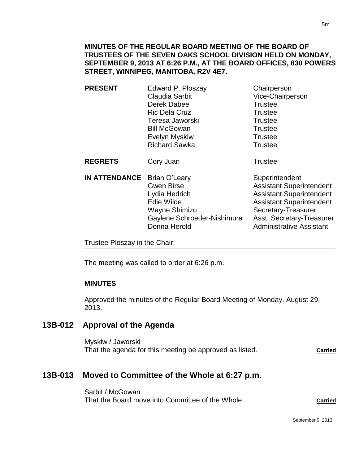- **PRESENT** Edward P. Ploszay Chairperson Claudia Sarbit Vice-Chairperson Derek Dabee Trustee Ric Dela Cruz **Trustee** Teresa Jaworski **Trustee** Bill McGowan **Trustee** Evelyn Myskiw **Trustee** Richard Sawka Trustee **REGRETS** Cory Juan **Trustee IN ATTENDANCE** Brian O'Leary Superintendent
	- Gwen Birse **Assistant Superintendent** Lydia Hedrich **Assistant Superintendent** Edie Wilde **Assistant Superintendent** Wayne Shimizu Secretary-Treasurer Gaylene Schroeder-Nishimura Asst. Secretary-Treasurer Donna Herold **Administrative Assistant**

Trustee Ploszay in the Chair.

The meeting was called to order at 6:26 p.m.

# **MINUTES**

Approved the minutes of the Regular Board Meeting of Monday, August 29, 2013.

# **13B-012 Approval of the Agenda**

Myskiw / Jaworski That the agenda for this meeting be approved as listed. **Carried** 

# **13B-013 Moved to Committee of the Whole at 6:27 p.m.**

Sarbit / McGowan That the Board move into Committee of the Whole. **Carried**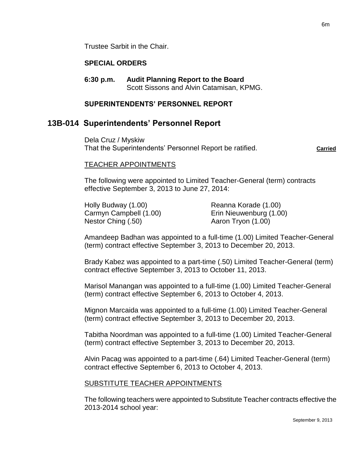Trustee Sarbit in the Chair.

### **SPECIAL ORDERS**

**6:30 p.m. Audit Planning Report to the Board** Scott Sissons and Alvin Catamisan, KPMG.

### **SUPERINTENDENTS' PERSONNEL REPORT**

# **13B-014 Superintendents' Personnel Report**

Dela Cruz / Myskiw That the Superintendents' Personnel Report be ratified. **Carried** Carried

#### TEACHER APPOINTMENTS

The following were appointed to Limited Teacher-General (term) contracts effective September 3, 2013 to June 27, 2014:

| Holly Budway (1.00)    | Reanna Korade (1.00)    |
|------------------------|-------------------------|
| Carmyn Campbell (1.00) | Erin Nieuwenburg (1.00) |
| Nestor Ching (.50)     | Aaron Tryon (1.00)      |

Amandeep Badhan was appointed to a full-time (1.00) Limited Teacher-General (term) contract effective September 3, 2013 to December 20, 2013.

Brady Kabez was appointed to a part-time (.50) Limited Teacher-General (term) contract effective September 3, 2013 to October 11, 2013.

Marisol Manangan was appointed to a full-time (1.00) Limited Teacher-General (term) contract effective September 6, 2013 to October 4, 2013.

Mignon Marcaida was appointed to a full-time (1.00) Limited Teacher-General (term) contract effective September 3, 2013 to December 20, 2013.

Tabitha Noordman was appointed to a full-time (1.00) Limited Teacher-General (term) contract effective September 3, 2013 to December 20, 2013.

Alvin Pacag was appointed to a part-time (.64) Limited Teacher-General (term) contract effective September 6, 2013 to October 4, 2013.

### SUBSTITUTE TEACHER APPOINTMENTS

The following teachers were appointed to Substitute Teacher contracts effective the 2013-2014 school year: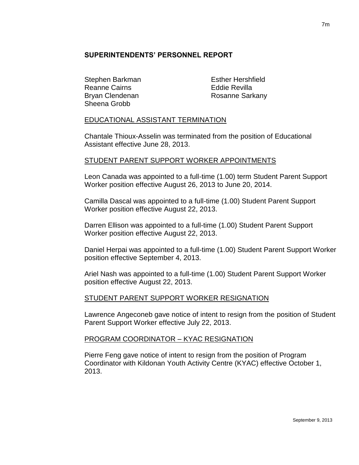# **SUPERINTENDENTS' PERSONNEL REPORT**

Stephen Barkman Esther Hershfield Reanne Cairns **Eddie Revilla** Sheena Grobb

Bryan Clendenan **Rosanne Sarkany** 

# EDUCATIONAL ASSISTANT TERMINATION

Chantale Thioux-Asselin was terminated from the position of Educational Assistant effective June 28, 2013.

# STUDENT PARENT SUPPORT WORKER APPOINTMENTS

Leon Canada was appointed to a full-time (1.00) term Student Parent Support Worker position effective August 26, 2013 to June 20, 2014.

Camilla Dascal was appointed to a full-time (1.00) Student Parent Support Worker position effective August 22, 2013.

Darren Ellison was appointed to a full-time (1.00) Student Parent Support Worker position effective August 22, 2013.

Daniel Herpai was appointed to a full-time (1.00) Student Parent Support Worker position effective September 4, 2013.

Ariel Nash was appointed to a full-time (1.00) Student Parent Support Worker position effective August 22, 2013.

### STUDENT PARENT SUPPORT WORKER RESIGNATION

Lawrence Angeconeb gave notice of intent to resign from the position of Student Parent Support Worker effective July 22, 2013.

### PROGRAM COORDINATOR – KYAC RESIGNATION

Pierre Feng gave notice of intent to resign from the position of Program Coordinator with Kildonan Youth Activity Centre (KYAC) effective October 1, 2013.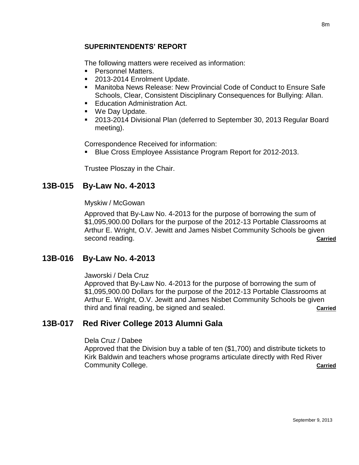# **SUPERINTENDENTS' REPORT**

The following matters were received as information:

- **Personnel Matters.**
- 2013-2014 Enrolment Update.
- Manitoba News Release: New Provincial Code of Conduct to Ensure Safe Schools, Clear, Consistent Disciplinary Consequences for Bullying: Allan.
- **Education Administration Act.**
- We Day Update.
- 2013-2014 Divisional Plan (deferred to September 30, 2013 Regular Board meeting).

Correspondence Received for information:

Blue Cross Employee Assistance Program Report for 2012-2013.

Trustee Ploszay in the Chair.

# **13B-015 By-Law No. 4-2013**

Myskiw / McGowan

Approved that By-Law No. 4-2013 for the purpose of borrowing the sum of \$1,095,900.00 Dollars for the purpose of the 2012-13 Portable Classrooms at Arthur E. Wright, O.V. Jewitt and James Nisbet Community Schools be given second reading. **Carried Carried Carried Carried Carried Carried Carried Carried** 

# **13B-016 By-Law No. 4-2013**

Jaworski / Dela Cruz

Approved that By-Law No. 4-2013 for the purpose of borrowing the sum of \$1,095,900.00 Dollars for the purpose of the 2012-13 Portable Classrooms at Arthur E. Wright, O.V. Jewitt and James Nisbet Community Schools be given third and final reading, be signed and sealed. **Carried**

# **13B-017 Red River College 2013 Alumni Gala**

Dela Cruz / Dabee

Approved that the Division buy a table of ten (\$1,700) and distribute tickets to Kirk Baldwin and teachers whose programs articulate directly with Red River **Community College. Community College. Carried**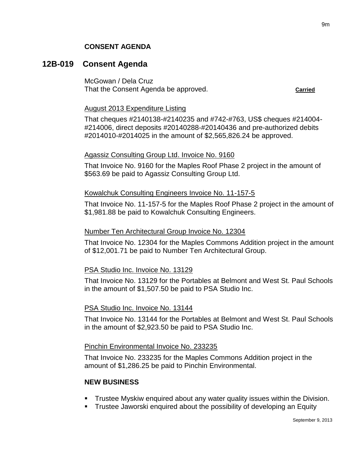# **CONSENT AGENDA**

# **12B-019 Consent Agenda**

McGowan / Dela Cruz That the Consent Agenda be approved. **Carried** carried

### August 2013 Expenditure Listing

That cheques #2140138-#2140235 and #742-#763, US\$ cheques #214004- #214006, direct deposits #20140288-#20140436 and pre-authorized debits #2014010-#2014025 in the amount of \$2,565,826.24 be approved.

# Agassiz Consulting Group Ltd. Invoice No. 9160

That Invoice No. 9160 for the Maples Roof Phase 2 project in the amount of \$563.69 be paid to Agassiz Consulting Group Ltd.

# Kowalchuk Consulting Engineers Invoice No. 11-157-5

That Invoice No. 11-157-5 for the Maples Roof Phase 2 project in the amount of \$1,981.88 be paid to Kowalchuk Consulting Engineers.

# Number Ten Architectural Group Invoice No. 12304

That Invoice No. 12304 for the Maples Commons Addition project in the amount of \$12,001.71 be paid to Number Ten Architectural Group.

# PSA Studio Inc. Invoice No. 13129

That Invoice No. 13129 for the Portables at Belmont and West St. Paul Schools in the amount of \$1,507.50 be paid to PSA Studio Inc.

# PSA Studio Inc. Invoice No. 13144

That Invoice No. 13144 for the Portables at Belmont and West St. Paul Schools in the amount of \$2,923.50 be paid to PSA Studio Inc.

### Pinchin Environmental Invoice No. 233235

That Invoice No. 233235 for the Maples Commons Addition project in the amount of \$1,286.25 be paid to Pinchin Environmental.

# **NEW BUSINESS**

- Trustee Myskiw enquired about any water quality issues within the Division.
- **Trustee Jaworski enquired about the possibility of developing an Equity**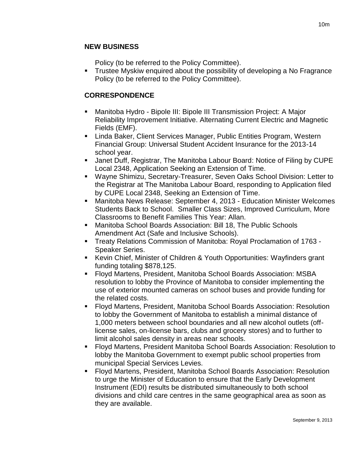# **NEW BUSINESS**

Policy (to be referred to the Policy Committee).

**Trustee Myskiw enquired about the possibility of developing a No Fragrance** Policy (to be referred to the Policy Committee).

# **CORRESPONDENCE**

- Manitoba Hydro Bipole III: Bipole III Transmission Project: A Major Reliability Improvement Initiative. Alternating Current Electric and Magnetic Fields (EMF).
- Linda Baker, Client Services Manager, Public Entities Program, Western Financial Group: Universal Student Accident Insurance for the 2013-14 school year.
- Janet Duff, Registrar, The Manitoba Labour Board: Notice of Filing by CUPE Local 2348, Application Seeking an Extension of Time.
- Wayne Shimizu, Secretary-Treasurer, Seven Oaks School Division: Letter to the Registrar at The Manitoba Labour Board, responding to Application filed by CUPE Local 2348, Seeking an Extension of Time.
- Manitoba News Release: September 4, 2013 Education Minister Welcomes Students Back to School. Smaller Class Sizes, Improved Curriculum, More Classrooms to Benefit Families This Year: Allan.
- Manitoba School Boards Association: Bill 18, The Public Schools Amendment Act (Safe and Inclusive Schools).
- Treaty Relations Commission of Manitoba: Royal Proclamation of 1763 Speaker Series.
- Kevin Chief, Minister of Children & Youth Opportunities: Wayfinders grant funding totaling \$878,125.
- Floyd Martens, President, Manitoba School Boards Association: MSBA resolution to lobby the Province of Manitoba to consider implementing the use of exterior mounted cameras on school buses and provide funding for the related costs.
- Floyd Martens, President, Manitoba School Boards Association: Resolution to lobby the Government of Manitoba to establish a minimal distance of 1,000 meters between school boundaries and all new alcohol outlets (offlicense sales, on-license bars, clubs and grocery stores) and to further to limit alcohol sales density in areas near schools.
- Floyd Martens, President Manitoba School Boards Association: Resolution to lobby the Manitoba Government to exempt public school properties from municipal Special Services Levies.
- Floyd Martens, President, Manitoba School Boards Association: Resolution to urge the Minister of Education to ensure that the Early Development Instrument (EDI) results be distributed simultaneously to both school divisions and child care centres in the same geographical area as soon as they are available.